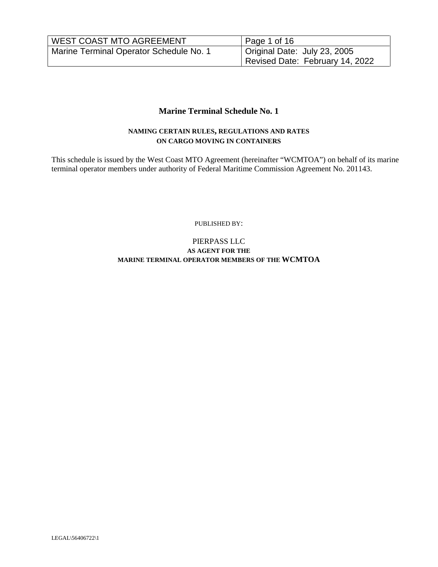| <b>WEST COAST MTO AGREEMENT</b>         | Page 1 of 16                    |
|-----------------------------------------|---------------------------------|
| Marine Terminal Operator Schedule No. 1 | Original Date: July 23, 2005    |
|                                         | Revised Date: February 14, 2022 |

#### **Marine Terminal Schedule No. 1**

#### **NAMING CERTAIN RULES, REGULATIONS AND RATES ON CARGO MOVING IN CONTAINERS**

This schedule is issued by the West Coast MTO Agreement (hereinafter "WCMTOA") on behalf of its marine terminal operator members under authority of Federal Maritime Commission Agreement No. 201143.

PUBLISHED BY:

#### PIERPASS LLC **AS AGENT FOR THE MARINE TERMINAL OPERATOR MEMBERS OF THE WCMTOA**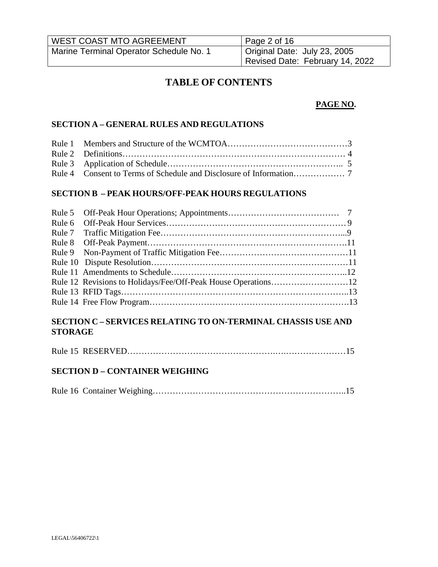| <b>WEST COAST MTO AGREEMENT</b>         | $\vert$ Page 2 of 16            |
|-----------------------------------------|---------------------------------|
| Marine Terminal Operator Schedule No. 1 | Original Date: July 23, 2005    |
|                                         | Revised Date: February 14, 2022 |

# **TABLE OF CONTENTS**

### **PAGE NO.**

#### **SECTION A – GENERAL RULES AND REGULATIONS**

#### **SECTION B – PEAK HOURS/OFF-PEAK HOURS REGULATIONS**

### **SECTION C – SERVICES RELATING TO ON-TERMINAL CHASSIS USE AND STORAGE**

|--|

### **SECTION D – CONTAINER WEIGHING**

|--|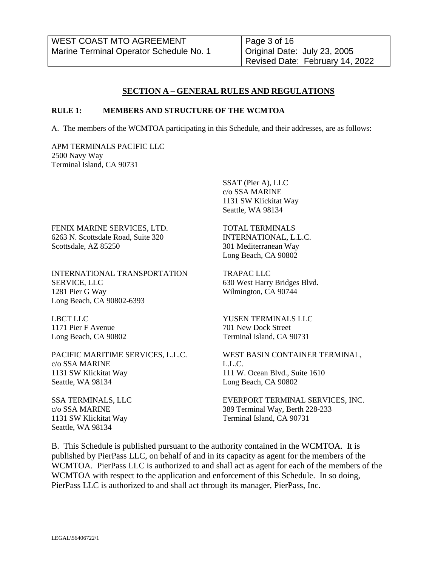| <b>WEST COAST MTO AGREEMENT</b>         | $\vert$ Page 3 of 16            |
|-----------------------------------------|---------------------------------|
| Marine Terminal Operator Schedule No. 1 | Original Date: July 23, 2005    |
|                                         | Revised Date: February 14, 2022 |

#### **SECTION A – GENERAL RULES AND REGULATIONS**

#### **RULE 1: MEMBERS AND STRUCTURE OF THE WCMTOA**

A. The members of the WCMTOA participating in this Schedule, and their addresses, are as follows:

APM TERMINALS PACIFIC LLC 2500 Navy Way Terminal Island, CA 90731

FENIX MARINE SERVICES, LTD. 6263 N. Scottsdale Road, Suite 320 Scottsdale, AZ 85250

INTERNATIONAL TRANSPORTATION SERVICE, LLC 1281 Pier G Way Long Beach, CA 90802-6393

LBCT LLC 1171 Pier F Avenue Long Beach, CA 90802

PACIFIC MARITIME SERVICES, L.L.C. c/o SSA MARINE 1131 SW Klickitat Way Seattle, WA 98134

SSA TERMINALS, LLC c/o SSA MARINE 1131 SW Klickitat Way Seattle, WA 98134

SSAT (Pier A), LLC c/o SSA MARINE 1131 SW Klickitat Way Seattle, WA 98134

TOTAL TERMINALS INTERNATIONAL, L.L.C. 301 Mediterranean Way Long Beach, CA 90802

TRAPAC LLC 630 West Harry Bridges Blvd. Wilmington, CA 90744

YUSEN TERMINALS LLC 701 New Dock Street Terminal Island, CA 90731

WEST BASIN CONTAINER TERMINAL, L.L.C. 111 W. Ocean Blvd., Suite 1610 Long Beach, CA 90802

EVERPORT TERMINAL SERVICES, INC. 389 Terminal Way, Berth 228-233 Terminal Island, CA 90731

B. This Schedule is published pursuant to the authority contained in the WCMTOA. It is published by PierPass LLC, on behalf of and in its capacity as agent for the members of the WCMTOA. PierPass LLC is authorized to and shall act as agent for each of the members of the WCMTOA with respect to the application and enforcement of this Schedule. In so doing, PierPass LLC is authorized to and shall act through its manager, PierPass, Inc.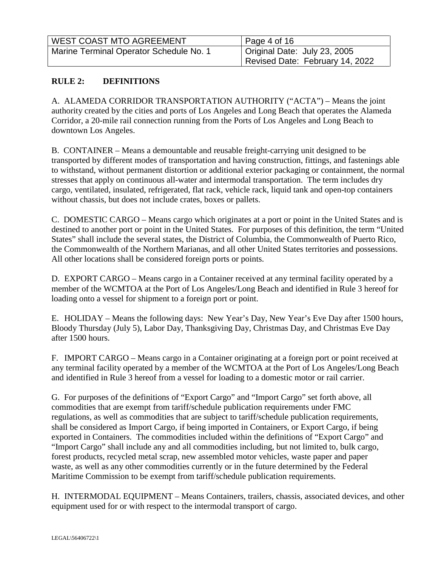| <b>WEST COAST MTO AGREEMENT</b>         | Page 4 of 16                    |
|-----------------------------------------|---------------------------------|
| Marine Terminal Operator Schedule No. 1 | Original Date: July 23, 2005    |
|                                         | Revised Date: February 14, 2022 |

# **RULE 2: DEFINITIONS**

A. ALAMEDA CORRIDOR TRANSPORTATION AUTHORITY ("ACTA") – Means the joint authority created by the cities and ports of Los Angeles and Long Beach that operates the Alameda Corridor, a 20-mile rail connection running from the Ports of Los Angeles and Long Beach to downtown Los Angeles.

B. CONTAINER – Means a demountable and reusable freight-carrying unit designed to be transported by different modes of transportation and having construction, fittings, and fastenings able to withstand, without permanent distortion or additional exterior packaging or containment, the normal stresses that apply on continuous all-water and intermodal transportation. The term includes dry cargo, ventilated, insulated, refrigerated, flat rack, vehicle rack, liquid tank and open-top containers without chassis, but does not include crates, boxes or pallets.

C. DOMESTIC CARGO – Means cargo which originates at a port or point in the United States and is destined to another port or point in the United States. For purposes of this definition, the term "United States" shall include the several states, the District of Columbia, the Commonwealth of Puerto Rico, the Commonwealth of the Northern Marianas, and all other United States territories and possessions. All other locations shall be considered foreign ports or points.

D. EXPORT CARGO – Means cargo in a Container received at any terminal facility operated by a member of the WCMTOA at the Port of Los Angeles/Long Beach and identified in Rule 3 hereof for loading onto a vessel for shipment to a foreign port or point.

E. HOLIDAY – Means the following days: New Year's Day, New Year's Eve Day after 1500 hours, Bloody Thursday (July 5), Labor Day, Thanksgiving Day, Christmas Day, and Christmas Eve Day after 1500 hours.

F. IMPORT CARGO – Means cargo in a Container originating at a foreign port or point received at any terminal facility operated by a member of the WCMTOA at the Port of Los Angeles/Long Beach and identified in Rule 3 hereof from a vessel for loading to a domestic motor or rail carrier.

G. For purposes of the definitions of "Export Cargo" and "Import Cargo" set forth above, all commodities that are exempt from tariff/schedule publication requirements under FMC regulations, as well as commodities that are subject to tariff/schedule publication requirements, shall be considered as Import Cargo, if being imported in Containers, or Export Cargo, if being exported in Containers. The commodities included within the definitions of "Export Cargo" and "Import Cargo" shall include any and all commodities including, but not limited to, bulk cargo, forest products, recycled metal scrap, new assembled motor vehicles, waste paper and paper waste, as well as any other commodities currently or in the future determined by the Federal Maritime Commission to be exempt from tariff/schedule publication requirements.

H. INTERMODAL EQUIPMENT – Means Containers, trailers, chassis, associated devices, and other equipment used for or with respect to the intermodal transport of cargo.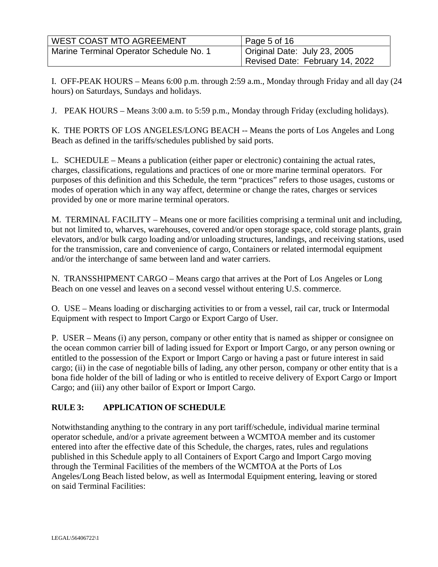| <b>WEST COAST MTO AGREEMENT</b>         | $\vert$ Page 5 of 16            |
|-----------------------------------------|---------------------------------|
| Marine Terminal Operator Schedule No. 1 | Original Date: July 23, 2005    |
|                                         | Revised Date: February 14, 2022 |

I. OFF-PEAK HOURS – Means 6:00 p.m. through 2:59 a.m., Monday through Friday and all day (24 hours) on Saturdays, Sundays and holidays.

J. PEAK HOURS – Means 3:00 a.m. to 5:59 p.m., Monday through Friday (excluding holidays).

K. THE PORTS OF LOS ANGELES/LONG BEACH -- Means the ports of Los Angeles and Long Beach as defined in the tariffs/schedules published by said ports.

L. SCHEDULE – Means a publication (either paper or electronic) containing the actual rates, charges, classifications, regulations and practices of one or more marine terminal operators. For purposes of this definition and this Schedule, the term "practices" refers to those usages, customs or modes of operation which in any way affect, determine or change the rates, charges or services provided by one or more marine terminal operators.

M. TERMINAL FACILITY – Means one or more facilities comprising a terminal unit and including, but not limited to, wharves, warehouses, covered and/or open storage space, cold storage plants, grain elevators, and/or bulk cargo loading and/or unloading structures, landings, and receiving stations, used for the transmission, care and convenience of cargo, Containers or related intermodal equipment and/or the interchange of same between land and water carriers.

N. TRANSSHIPMENT CARGO – Means cargo that arrives at the Port of Los Angeles or Long Beach on one vessel and leaves on a second vessel without entering U.S. commerce.

O. USE – Means loading or discharging activities to or from a vessel, rail car, truck or Intermodal Equipment with respect to Import Cargo or Export Cargo of User.

P. USER – Means (i) any person, company or other entity that is named as shipper or consignee on the ocean common carrier bill of lading issued for Export or Import Cargo, or any person owning or entitled to the possession of the Export or Import Cargo or having a past or future interest in said cargo; (ii) in the case of negotiable bills of lading, any other person, company or other entity that is a bona fide holder of the bill of lading or who is entitled to receive delivery of Export Cargo or Import Cargo; and (iii) any other bailor of Export or Import Cargo.

# **RULE 3: APPLICATION OF SCHEDULE**

Notwithstanding anything to the contrary in any port tariff/schedule, individual marine terminal operator schedule, and/or a private agreement between a WCMTOA member and its customer entered into after the effective date of this Schedule, the charges, rates, rules and regulations published in this Schedule apply to all Containers of Export Cargo and Import Cargo moving through the Terminal Facilities of the members of the WCMTOA at the Ports of Los Angeles/Long Beach listed below, as well as Intermodal Equipment entering, leaving or stored on said Terminal Facilities: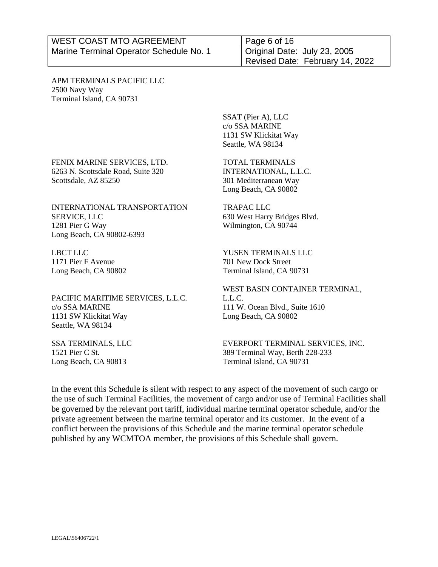| <b>WEST COAST MTO AGREEMENT</b>         | $\vert$ Page 6 of 16            |
|-----------------------------------------|---------------------------------|
| Marine Terminal Operator Schedule No. 1 | Original Date: July 23, 2005    |
|                                         | Revised Date: February 14, 2022 |

APM TERMINALS PACIFIC LLC 2500 Navy Way Terminal Island, CA 90731

FENIX MARINE SERVICES, LTD. 6263 N. Scottsdale Road, Suite 320

SSAT (Pier A), LLC c/o SSA MARINE 1131 SW Klickitat Way Seattle, WA 98134

TOTAL TERMINALS INTERNATIONAL, L.L.C. 301 Mediterranean Way Long Beach, CA 90802

TRAPAC LLC

INTERNATIONAL TRANSPORTATION SERVICE, LLC 1281 Pier G Way Long Beach, CA 90802-6393

LBCT LLC 1171 Pier F Avenue Long Beach, CA 90802

Scottsdale, AZ 85250

PACIFIC MARITIME SERVICES, L.L.C. c/o SSA MARINE 1131 SW Klickitat Way Seattle, WA 98134

SSA TERMINALS, LLC 1521 Pier C St. Long Beach, CA 90813

YUSEN TERMINALS LLC 701 New Dock Street

Terminal Island, CA 90731

630 West Harry Bridges Blvd. Wilmington, CA 90744

WEST BASIN CONTAINER TERMINAL, L.L.C. 111 W. Ocean Blvd., Suite 1610 Long Beach, CA 90802

EVERPORT TERMINAL SERVICES, INC. 389 Terminal Way, Berth 228-233 Terminal Island, CA 90731

In the event this Schedule is silent with respect to any aspect of the movement of such cargo or the use of such Terminal Facilities, the movement of cargo and/or use of Terminal Facilities shall be governed by the relevant port tariff, individual marine terminal operator schedule, and/or the private agreement between the marine terminal operator and its customer. In the event of a conflict between the provisions of this Schedule and the marine terminal operator schedule published by any WCMTOA member, the provisions of this Schedule shall govern.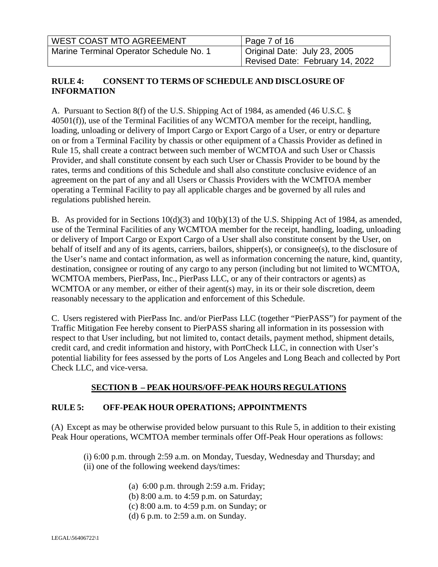| <b>WEST COAST MTO AGREEMENT</b>         | Page 7 of 16                    |
|-----------------------------------------|---------------------------------|
| Marine Terminal Operator Schedule No. 1 | Original Date: July 23, 2005    |
|                                         | Revised Date: February 14, 2022 |

### **RULE 4: CONSENT TO TERMS OF SCHEDULE AND DISCLOSURE OF INFORMATION**

A. Pursuant to Section 8(f) of the U.S. Shipping Act of 1984, as amended (46 U.S.C. § 40501(f)), use of the Terminal Facilities of any WCMTOA member for the receipt, handling, loading, unloading or delivery of Import Cargo or Export Cargo of a User, or entry or departure on or from a Terminal Facility by chassis or other equipment of a Chassis Provider as defined in Rule 15, shall create a contract between such member of WCMTOA and such User or Chassis Provider, and shall constitute consent by each such User or Chassis Provider to be bound by the rates, terms and conditions of this Schedule and shall also constitute conclusive evidence of an agreement on the part of any and all Users or Chassis Providers with the WCMTOA member operating a Terminal Facility to pay all applicable charges and be governed by all rules and regulations published herein.

B. As provided for in Sections 10(d)(3) and 10(b)(13) of the U.S. Shipping Act of 1984, as amended, use of the Terminal Facilities of any WCMTOA member for the receipt, handling, loading, unloading or delivery of Import Cargo or Export Cargo of a User shall also constitute consent by the User, on behalf of itself and any of its agents, carriers, bailors, shipper(s), or consignee(s), to the disclosure of the User's name and contact information, as well as information concerning the nature, kind, quantity, destination, consignee or routing of any cargo to any person (including but not limited to WCMTOA, WCMTOA members, PierPass, Inc., PierPass LLC, or any of their contractors or agents) as WCMTOA or any member, or either of their agent(s) may, in its or their sole discretion, deem reasonably necessary to the application and enforcement of this Schedule.

C. Users registered with PierPass Inc. and/or PierPass LLC (together "PierPASS") for payment of the Traffic Mitigation Fee hereby consent to PierPASS sharing all information in its possession with respect to that User including, but not limited to, contact details, payment method, shipment details, credit card, and credit information and history, with PortCheck LLC, in connection with User's potential liability for fees assessed by the ports of Los Angeles and Long Beach and collected by Port Check LLC, and vice-versa.

# **SECTION B – PEAK HOURS/OFF-PEAK HOURS REGULATIONS**

# **RULE 5: OFF-PEAK HOUR OPERATIONS; APPOINTMENTS**

(A) Except as may be otherwise provided below pursuant to this Rule 5, in addition to their existing Peak Hour operations, WCMTOA member terminals offer Off-Peak Hour operations as follows:

(i) 6:00 p.m. through 2:59 a.m. on Monday, Tuesday, Wednesday and Thursday; and (ii) one of the following weekend days/times:

- (a) 6:00 p.m. through 2:59 a.m. Friday;
- (b) 8:00 a.m. to 4:59 p.m. on Saturday;
- (c) 8:00 a.m. to 4:59 p.m. on Sunday; or
- (d) 6 p.m. to 2:59 a.m. on Sunday.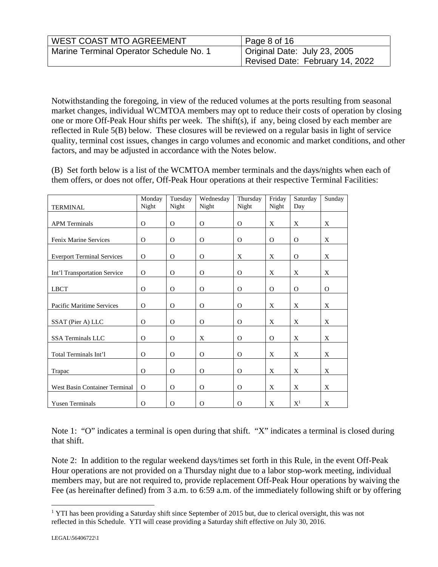| <b>WEST COAST MTO AGREEMENT</b>         | Page 8 of 16                    |
|-----------------------------------------|---------------------------------|
| Marine Terminal Operator Schedule No. 1 | Original Date: July 23, 2005    |
|                                         | Revised Date: February 14, 2022 |

Notwithstanding the foregoing, in view of the reduced volumes at the ports resulting from seasonal market changes, individual WCMTOA members may opt to reduce their costs of operation by closing one or more Off-Peak Hour shifts per week. The shift(s), if any, being closed by each member are reflected in Rule 5(B) below. These closures will be reviewed on a regular basis in light of service quality, terminal cost issues, changes in cargo volumes and economic and market conditions, and other factors, and may be adjusted in accordance with the Notes below.

(B) Set forth below is a list of the WCMTOA member terminals and the days/nights when each of them offers, or does not offer, Off-Peak Hour operations at their respective Terminal Facilities:

|                                   | Monday<br>Night | Tuesday<br>Night | Wednesday<br>Night | Thursday<br>Night | Friday   | Saturday<br>Day | Sunday |
|-----------------------------------|-----------------|------------------|--------------------|-------------------|----------|-----------------|--------|
| <b>TERMINAL</b>                   |                 |                  |                    |                   | Night    |                 |        |
| <b>APM</b> Terminals              | $\Omega$        | $\Omega$         | $\mathbf{O}$       | $\Omega$          | X        | X               | X      |
| Fenix Marine Services             | $\Omega$        | $\Omega$         | $\Omega$           | $\Omega$          | $\Omega$ | $\Omega$        | X      |
| <b>Everport Terminal Services</b> | $\Omega$        | $\Omega$         | $\Omega$           | X                 | X        | $\Omega$        | X      |
| Int'l Transportation Service      | $\Omega$        | $\Omega$         | $\Omega$           | $\Omega$          | X        | X               | X      |
| <b>LBCT</b>                       | $\Omega$        | $\Omega$         | $\Omega$           | $\Omega$          | $\Omega$ | $\Omega$        | 0      |
| Pacific Maritime Services         | $\Omega$        | $\Omega$         | $\Omega$           | $\Omega$          | X        | X               | X      |
| SSAT (Pier A) LLC                 | $\Omega$        | $\Omega$         | $\Omega$           | $\Omega$          | X        | X               | X      |
| <b>SSA Terminals LLC</b>          | $\Omega$        | $\Omega$         | X                  | $\Omega$          | $\Omega$ | X               | X      |
| Total Terminals Int'l             | O               | $\Omega$         | $\Omega$           | O                 | X        | X               | X      |
|                                   |                 |                  |                    |                   |          |                 |        |
| Trapac                            | $\Omega$        | $\Omega$         | $\Omega$           | $\Omega$          | X        | X               | X      |
| West Basin Container Terminal     | $\Omega$        | $\Omega$         | $\Omega$           | $\Omega$          | X        | X               | X      |
| <b>Yusen Terminals</b>            | $\Omega$        | $\Omega$         | $\Omega$           | $\Omega$          | X        | $X^1$           | X      |

Note 1: "O" indicates a terminal is open during that shift. "X" indicates a terminal is closed during that shift.

Note 2: In addition to the regular weekend days/times set forth in this Rule, in the event Off-Peak Hour operations are not provided on a Thursday night due to a labor stop-work meeting, individual members may, but are not required to, provide replacement Off-Peak Hour operations by waiving the Fee (as hereinafter defined) from 3 a.m. to 6:59 a.m. of the immediately following shift or by offering

<span id="page-7-0"></span><sup>&</sup>lt;sup>1</sup> YTI has been providing a Saturday shift since September of 2015 but, due to clerical oversight, this was not reflected in this Schedule. YTI will cease providing a Saturday shift effective on July 30, 2016.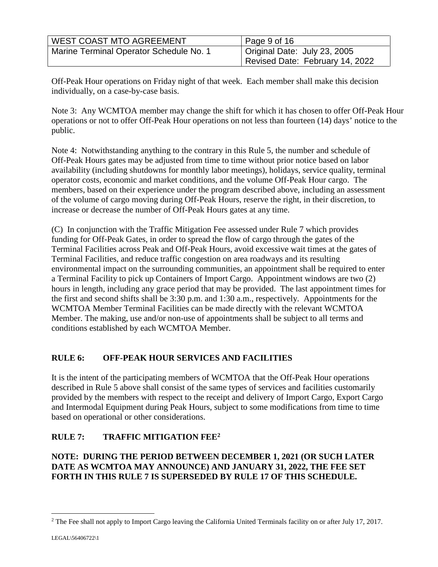| <b>WEST COAST MTO AGREEMENT</b>         | Page 9 of 16                    |
|-----------------------------------------|---------------------------------|
| Marine Terminal Operator Schedule No. 1 | Original Date: July 23, 2005    |
|                                         | Revised Date: February 14, 2022 |

Off-Peak Hour operations on Friday night of that week. Each member shall make this decision individually, on a case-by-case basis.

Note 3: Any WCMTOA member may change the shift for which it has chosen to offer Off-Peak Hour operations or not to offer Off-Peak Hour operations on not less than fourteen (14) days' notice to the public.

Note 4: Notwithstanding anything to the contrary in this Rule 5, the number and schedule of Off-Peak Hours gates may be adjusted from time to time without prior notice based on labor availability (including shutdowns for monthly labor meetings), holidays, service quality, terminal operator costs, economic and market conditions, and the volume Off-Peak Hour cargo. The members, based on their experience under the program described above, including an assessment of the volume of cargo moving during Off-Peak Hours, reserve the right, in their discretion, to increase or decrease the number of Off-Peak Hours gates at any time.

(C) In conjunction with the Traffic Mitigation Fee assessed under Rule 7 which provides funding for Off-Peak Gates, in order to spread the flow of cargo through the gates of the Terminal Facilities across Peak and Off-Peak Hours, avoid excessive wait times at the gates of Terminal Facilities, and reduce traffic congestion on area roadways and its resulting environmental impact on the surrounding communities, an appointment shall be required to enter a Terminal Facility to pick up Containers of Import Cargo. Appointment windows are two (2) hours in length, including any grace period that may be provided. The last appointment times for the first and second shifts shall be 3:30 p.m. and 1:30 a.m., respectively. Appointments for the WCMTOA Member Terminal Facilities can be made directly with the relevant WCMTOA Member. The making, use and/or non-use of appointments shall be subject to all terms and conditions established by each WCMTOA Member.

# **RULE 6: OFF-PEAK HOUR SERVICES AND FACILITIES**

It is the intent of the participating members of WCMTOA that the Off-Peak Hour operations described in Rule 5 above shall consist of the same types of services and facilities customarily provided by the members with respect to the receipt and delivery of Import Cargo, Export Cargo and Intermodal Equipment during Peak Hours, subject to some modifications from time to time based on operational or other considerations.

# **RULE 7: TRAFFIC MITIGATION FEE[2](#page-8-0)**

### **NOTE: DURING THE PERIOD BETWEEN DECEMBER 1, 2021 (OR SUCH LATER DATE AS WCMTOA MAY ANNOUNCE) AND JANUARY 31, 2022, THE FEE SET FORTH IN THIS RULE 7 IS SUPERSEDED BY RULE 17 OF THIS SCHEDULE.**

<span id="page-8-0"></span> $2$  The Fee shall not apply to Import Cargo leaving the California United Terminals facility on or after July 17, 2017.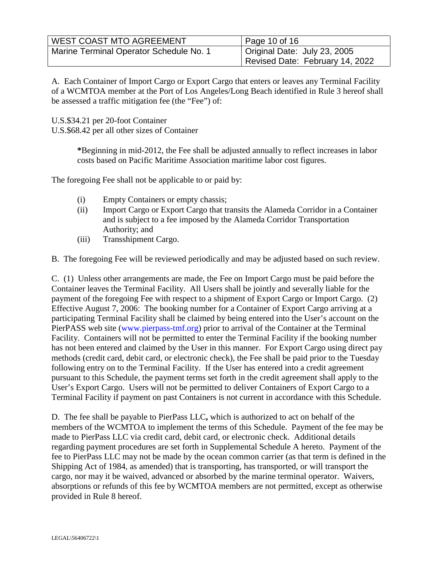| <b>WEST COAST MTO AGREEMENT</b>         | Page 10 of 16                   |
|-----------------------------------------|---------------------------------|
| Marine Terminal Operator Schedule No. 1 | Original Date: July 23, 2005    |
|                                         | Revised Date: February 14, 2022 |

A. Each Container of Import Cargo or Export Cargo that enters or leaves any Terminal Facility of a WCMTOA member at the Port of Los Angeles/Long Beach identified in Rule 3 hereof shall be assessed a traffic mitigation fee (the "Fee") of:

U.S.\$34.21 per 20-foot Container

U.S.\$68.42 per all other sizes of Container

**\***Beginning in mid-2012, the Fee shall be adjusted annually to reflect increases in labor costs based on Pacific Maritime Association maritime labor cost figures.

The foregoing Fee shall not be applicable to or paid by:

- (i) Empty Containers or empty chassis;
- (ii) Import Cargo or Export Cargo that transits the Alameda Corridor in a Container and is subject to a fee imposed by the Alameda Corridor Transportation Authority; and
- (iii) Transshipment Cargo.

B. The foregoing Fee will be reviewed periodically and may be adjusted based on such review.

C. (1) Unless other arrangements are made, the Fee on Import Cargo must be paid before the Container leaves the Terminal Facility. All Users shall be jointly and severally liable for the payment of the foregoing Fee with respect to a shipment of Export Cargo or Import Cargo. (2) Effective August 7, 2006: The booking number for a Container of Export Cargo arriving at a participating Terminal Facility shall be claimed by being entered into the User's account on the PierPASS web site ([www.pierpass-tmf.org\)](http://www.pierpass-tmf.org/) prior to arrival of the Container at the Terminal Facility. Containers will not be permitted to enter the Terminal Facility if the booking number has not been entered and claimed by the User in this manner. For Export Cargo using direct pay methods (credit card, debit card, or electronic check), the Fee shall be paid prior to the Tuesday following entry on to the Terminal Facility. If the User has entered into a credit agreement pursuant to this Schedule, the payment terms set forth in the credit agreement shall apply to the User's Export Cargo. Users will not be permitted to deliver Containers of Export Cargo to a Terminal Facility if payment on past Containers is not current in accordance with this Schedule.

D. The fee shall be payable to PierPass LLC**,** which is authorized to act on behalf of the members of the WCMTOA to implement the terms of this Schedule. Payment of the fee may be made to PierPass LLC via credit card, debit card, or electronic check. Additional details regarding payment procedures are set forth in Supplemental Schedule A hereto. Payment of the fee to PierPass LLC may not be made by the ocean common carrier (as that term is defined in the Shipping Act of 1984, as amended) that is transporting, has transported, or will transport the cargo, nor may it be waived, advanced or absorbed by the marine terminal operator. Waivers, absorptions or refunds of this fee by WCMTOA members are not permitted, except as otherwise provided in Rule 8 hereof.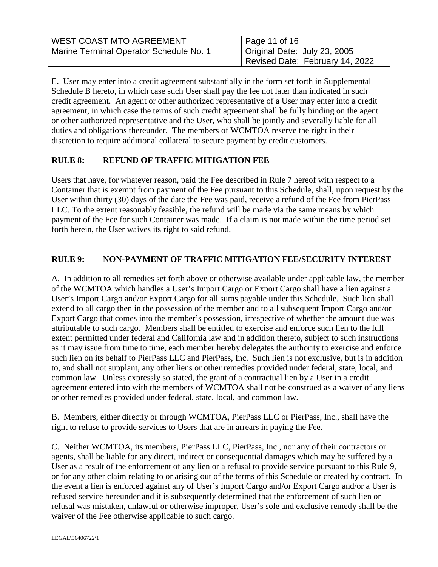| <b>WEST COAST MTO AGREEMENT</b>         | Page 11 of 16                   |
|-----------------------------------------|---------------------------------|
| Marine Terminal Operator Schedule No. 1 | Original Date: July 23, 2005    |
|                                         | Revised Date: February 14, 2022 |

E. User may enter into a credit agreement substantially in the form set forth in Supplemental Schedule B hereto, in which case such User shall pay the fee not later than indicated in such credit agreement. An agent or other authorized representative of a User may enter into a credit agreement, in which case the terms of such credit agreement shall be fully binding on the agent or other authorized representative and the User, who shall be jointly and severally liable for all duties and obligations thereunder. The members of WCMTOA reserve the right in their discretion to require additional collateral to secure payment by credit customers.

### **RULE 8: REFUND OF TRAFFIC MITIGATION FEE**

Users that have, for whatever reason, paid the Fee described in Rule 7 hereof with respect to a Container that is exempt from payment of the Fee pursuant to this Schedule, shall, upon request by the User within thirty (30) days of the date the Fee was paid, receive a refund of the Fee from PierPass LLC. To the extent reasonably feasible, the refund will be made via the same means by which payment of the Fee for such Container was made. If a claim is not made within the time period set forth herein, the User waives its right to said refund.

### **RULE 9: NON-PAYMENT OF TRAFFIC MITIGATION FEE/SECURITY INTEREST**

A. In addition to all remedies set forth above or otherwise available under applicable law, the member of the WCMTOA which handles a User's Import Cargo or Export Cargo shall have a lien against a User's Import Cargo and/or Export Cargo for all sums payable under this Schedule. Such lien shall extend to all cargo then in the possession of the member and to all subsequent Import Cargo and/or Export Cargo that comes into the member's possession, irrespective of whether the amount due was attributable to such cargo. Members shall be entitled to exercise and enforce such lien to the full extent permitted under federal and California law and in addition thereto, subject to such instructions as it may issue from time to time, each member hereby delegates the authority to exercise and enforce such lien on its behalf to PierPass LLC and PierPass, Inc. Such lien is not exclusive, but is in addition to, and shall not supplant, any other liens or other remedies provided under federal, state, local, and common law. Unless expressly so stated, the grant of a contractual lien by a User in a credit agreement entered into with the members of WCMTOA shall not be construed as a waiver of any liens or other remedies provided under federal, state, local, and common law.

B. Members, either directly or through WCMTOA, PierPass LLC or PierPass, Inc., shall have the right to refuse to provide services to Users that are in arrears in paying the Fee.

C. Neither WCMTOA, its members, PierPass LLC, PierPass, Inc., nor any of their contractors or agents, shall be liable for any direct, indirect or consequential damages which may be suffered by a User as a result of the enforcement of any lien or a refusal to provide service pursuant to this Rule 9, or for any other claim relating to or arising out of the terms of this Schedule or created by contract. In the event a lien is enforced against any of User's Import Cargo and/or Export Cargo and/or a User is refused service hereunder and it is subsequently determined that the enforcement of such lien or refusal was mistaken, unlawful or otherwise improper, User's sole and exclusive remedy shall be the waiver of the Fee otherwise applicable to such cargo.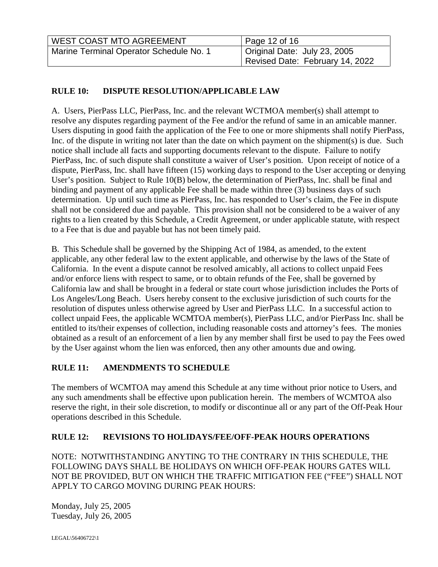| <b>WEST COAST MTO AGREEMENT</b>         | Page 12 of 16                             |
|-----------------------------------------|-------------------------------------------|
| Marine Terminal Operator Schedule No. 1 | <sup>1</sup> Original Date: July 23, 2005 |
|                                         | Revised Date: February 14, 2022           |

# **RULE 10: DISPUTE RESOLUTION/APPLICABLE LAW**

A. Users, PierPass LLC, PierPass, Inc. and the relevant WCTMOA member(s) shall attempt to resolve any disputes regarding payment of the Fee and/or the refund of same in an amicable manner. Users disputing in good faith the application of the Fee to one or more shipments shall notify PierPass, Inc. of the dispute in writing not later than the date on which payment on the shipment(s) is due. Such notice shall include all facts and supporting documents relevant to the dispute. Failure to notify PierPass, Inc. of such dispute shall constitute a waiver of User's position. Upon receipt of notice of a dispute, PierPass, Inc. shall have fifteen (15) working days to respond to the User accepting or denying User's position. Subject to Rule 10(B) below, the determination of PierPass, Inc. shall be final and binding and payment of any applicable Fee shall be made within three (3) business days of such determination. Up until such time as PierPass, Inc. has responded to User's claim, the Fee in dispute shall not be considered due and payable. This provision shall not be considered to be a waiver of any rights to a lien created by this Schedule, a Credit Agreement, or under applicable statute, with respect to a Fee that is due and payable but has not been timely paid.

B. This Schedule shall be governed by the Shipping Act of 1984, as amended, to the extent applicable, any other federal law to the extent applicable, and otherwise by the laws of the State of California. In the event a dispute cannot be resolved amicably, all actions to collect unpaid Fees and/or enforce liens with respect to same, or to obtain refunds of the Fee, shall be governed by California law and shall be brought in a federal or state court whose jurisdiction includes the Ports of Los Angeles/Long Beach. Users hereby consent to the exclusive jurisdiction of such courts for the resolution of disputes unless otherwise agreed by User and PierPass LLC. In a successful action to collect unpaid Fees, the applicable WCMTOA member(s), PierPass LLC, and/or PierPass Inc. shall be entitled to its/their expenses of collection, including reasonable costs and attorney's fees. The monies obtained as a result of an enforcement of a lien by any member shall first be used to pay the Fees owed by the User against whom the lien was enforced, then any other amounts due and owing.

# **RULE 11: AMENDMENTS TO SCHEDULE**

The members of WCMTOA may amend this Schedule at any time without prior notice to Users, and any such amendments shall be effective upon publication herein. The members of WCMTOA also reserve the right, in their sole discretion, to modify or discontinue all or any part of the Off-Peak Hour operations described in this Schedule.

# **RULE 12: REVISIONS TO HOLIDAYS/FEE/OFF-PEAK HOURS OPERATIONS**

NOTE: NOTWITHSTANDING ANYTING TO THE CONTRARY IN THIS SCHEDULE, THE FOLLOWING DAYS SHALL BE HOLIDAYS ON WHICH OFF-PEAK HOURS GATES WILL NOT BE PROVIDED, BUT ON WHICH THE TRAFFIC MITIGATION FEE ("FEE") SHALL NOT APPLY TO CARGO MOVING DURING PEAK HOURS:

Monday, July 25, 2005 Tuesday, July 26, 2005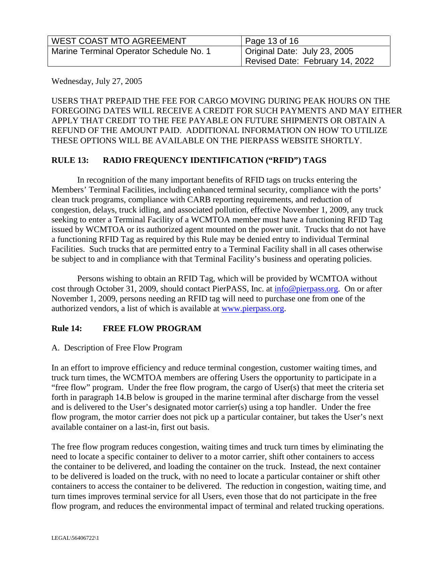| <b>WEST COAST MTO AGREEMENT</b>         | Page 13 of 16                   |
|-----------------------------------------|---------------------------------|
| Marine Terminal Operator Schedule No. 1 | Original Date: July 23, 2005    |
|                                         | Revised Date: February 14, 2022 |

Wednesday, July 27, 2005

USERS THAT PREPAID THE FEE FOR CARGO MOVING DURING PEAK HOURS ON THE FOREGOING DATES WILL RECEIVE A CREDIT FOR SUCH PAYMENTS AND MAY EITHER APPLY THAT CREDIT TO THE FEE PAYABLE ON FUTURE SHIPMENTS OR OBTAIN A REFUND OF THE AMOUNT PAID. ADDITIONAL INFORMATION ON HOW TO UTILIZE THESE OPTIONS WILL BE AVAILABLE ON THE PIERPASS WEBSITE SHORTLY.

### **RULE 13: RADIO FREQUENCY IDENTIFICATION ("RFID") TAGS**

In recognition of the many important benefits of RFID tags on trucks entering the Members' Terminal Facilities, including enhanced terminal security, compliance with the ports' clean truck programs, compliance with CARB reporting requirements, and reduction of congestion, delays, truck idling, and associated pollution, effective November 1, 2009, any truck seeking to enter a Terminal Facility of a WCMTOA member must have a functioning RFID Tag issued by WCMTOA or its authorized agent mounted on the power unit. Trucks that do not have a functioning RFID Tag as required by this Rule may be denied entry to individual Terminal Facilities. Such trucks that are permitted entry to a Terminal Facility shall in all cases otherwise be subject to and in compliance with that Terminal Facility's business and operating policies.

Persons wishing to obtain an RFID Tag, which will be provided by WCMTOA without cost through October 31, 2009, should contact PierPASS, Inc. at [info@pierpass.org.](mailto:info@pierpass.org) On or after November 1, 2009, persons needing an RFID tag will need to purchase one from one of the authorized vendors, a list of which is available at [www.pierpass.org](http://www.pierpass.org/).

### **Rule 14: FREE FLOW PROGRAM**

### A. Description of Free Flow Program

In an effort to improve efficiency and reduce terminal congestion, customer waiting times, and truck turn times, the WCMTOA members are offering Users the opportunity to participate in a "free flow" program. Under the free flow program, the cargo of User(s) that meet the criteria set forth in paragraph 14.B below is grouped in the marine terminal after discharge from the vessel and is delivered to the User's designated motor carrier(s) using a top handler. Under the free flow program, the motor carrier does not pick up a particular container, but takes the User's next available container on a last-in, first out basis.

The free flow program reduces congestion, waiting times and truck turn times by eliminating the need to locate a specific container to deliver to a motor carrier, shift other containers to access the container to be delivered, and loading the container on the truck. Instead, the next container to be delivered is loaded on the truck, with no need to locate a particular container or shift other containers to access the container to be delivered. The reduction in congestion, waiting time, and turn times improves terminal service for all Users, even those that do not participate in the free flow program, and reduces the environmental impact of terminal and related trucking operations.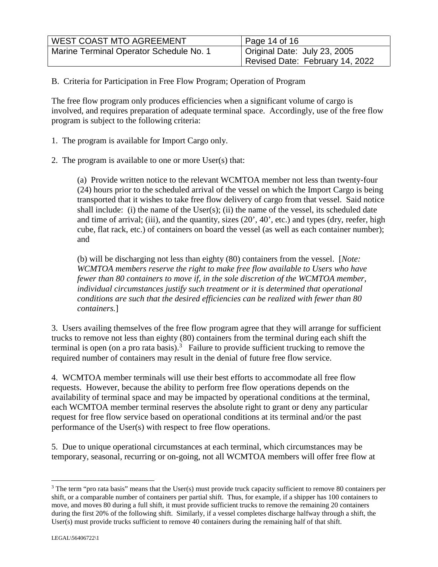| <b>WEST COAST MTO AGREEMENT</b>         | Page 14 of 16                   |
|-----------------------------------------|---------------------------------|
| Marine Terminal Operator Schedule No. 1 | Original Date: July 23, 2005    |
|                                         | Revised Date: February 14, 2022 |

B. Criteria for Participation in Free Flow Program; Operation of Program

The free flow program only produces efficiencies when a significant volume of cargo is involved, and requires preparation of adequate terminal space. Accordingly, use of the free flow program is subject to the following criteria:

- 1. The program is available for Import Cargo only.
- 2. The program is available to one or more User(s) that:

(a) Provide written notice to the relevant WCMTOA member not less than twenty-four (24) hours prior to the scheduled arrival of the vessel on which the Import Cargo is being transported that it wishes to take free flow delivery of cargo from that vessel. Said notice shall include: (i) the name of the User $(s)$ ; (ii) the name of the vessel, its scheduled date and time of arrival; (iii), and the quantity, sizes (20', 40', etc.) and types (dry, reefer, high cube, flat rack, etc.) of containers on board the vessel (as well as each container number); and

(b) will be discharging not less than eighty (80) containers from the vessel. [*Note: WCMTOA members reserve the right to make free flow available to Users who have fewer than 80 containers to move if, in the sole discretion of the WCMTOA member, individual circumstances justify such treatment or it is determined that operational conditions are such that the desired efficiencies can be realized with fewer than 80 containers.*]

3. Users availing themselves of the free flow program agree that they will arrange for sufficient trucks to remove not less than eighty (80) containers from the terminal during each shift the terminal is open (on a pro rata basis).<sup>[3](#page-13-0)</sup> Failure to provide sufficient trucking to remove the required number of containers may result in the denial of future free flow service.

4. WCMTOA member terminals will use their best efforts to accommodate all free flow requests. However, because the ability to perform free flow operations depends on the availability of terminal space and may be impacted by operational conditions at the terminal, each WCMTOA member terminal reserves the absolute right to grant or deny any particular request for free flow service based on operational conditions at its terminal and/or the past performance of the User(s) with respect to free flow operations.

5. Due to unique operational circumstances at each terminal, which circumstances may be temporary, seasonal, recurring or on-going, not all WCMTOA members will offer free flow at

<span id="page-13-0"></span><sup>&</sup>lt;sup>3</sup> The term "pro rata basis" means that the User(s) must provide truck capacity sufficient to remove 80 containers per shift, or a comparable number of containers per partial shift. Thus, for example, if a shipper has 100 containers to move, and moves 80 during a full shift, it must provide sufficient trucks to remove the remaining 20 containers during the first 20% of the following shift. Similarly, if a vessel completes discharge halfway through a shift, the User(s) must provide trucks sufficient to remove 40 containers during the remaining half of that shift.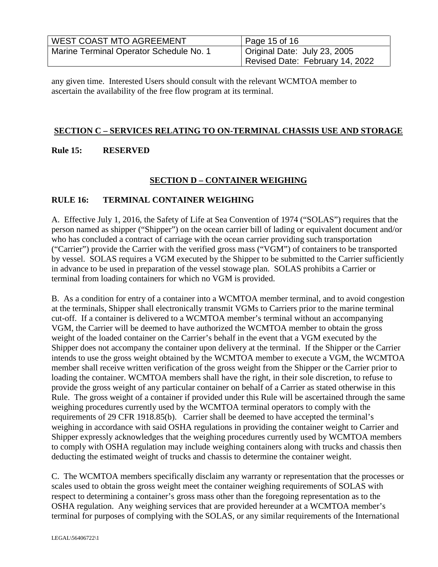| <b>WEST COAST MTO AGREEMENT</b>         | Page 15 of 16                   |
|-----------------------------------------|---------------------------------|
| Marine Terminal Operator Schedule No. 1 | Original Date: July 23, 2005    |
|                                         | Revised Date: February 14, 2022 |

any given time. Interested Users should consult with the relevant WCMTOA member to ascertain the availability of the free flow program at its terminal.

#### **SECTION C – SERVICES RELATING TO ON-TERMINAL CHASSIS USE AND STORAGE**

#### **Rule 15: RESERVED**

### **SECTION D – CONTAINER WEIGHING**

#### **RULE 16: TERMINAL CONTAINER WEIGHING**

A. Effective July 1, 2016, the Safety of Life at Sea Convention of 1974 ("SOLAS") requires that the person named as shipper ("Shipper") on the ocean carrier bill of lading or equivalent document and/or who has concluded a contract of carriage with the ocean carrier providing such transportation ("Carrier") provide the Carrier with the verified gross mass ("VGM") of containers to be transported by vessel. SOLAS requires a VGM executed by the Shipper to be submitted to the Carrier sufficiently in advance to be used in preparation of the vessel stowage plan. SOLAS prohibits a Carrier or terminal from loading containers for which no VGM is provided.

B. As a condition for entry of a container into a WCMTOA member terminal, and to avoid congestion at the terminals, Shipper shall electronically transmit VGMs to Carriers prior to the marine terminal cut-off. If a container is delivered to a WCMTOA member's terminal without an accompanying VGM, the Carrier will be deemed to have authorized the WCMTOA member to obtain the gross weight of the loaded container on the Carrier's behalf in the event that a VGM executed by the Shipper does not accompany the container upon delivery at the terminal. If the Shipper or the Carrier intends to use the gross weight obtained by the WCMTOA member to execute a VGM, the WCMTOA member shall receive written verification of the gross weight from the Shipper or the Carrier prior to loading the container. WCMTOA members shall have the right, in their sole discretion, to refuse to provide the gross weight of any particular container on behalf of a Carrier as stated otherwise in this Rule. The gross weight of a container if provided under this Rule will be ascertained through the same weighing procedures currently used by the WCMTOA terminal operators to comply with the requirements of 29 CFR 1918.85(b). Carrier shall be deemed to have accepted the terminal's weighing in accordance with said OSHA regulations in providing the container weight to Carrier and Shipper expressly acknowledges that the weighing procedures currently used by WCMTOA members to comply with OSHA regulation may include weighing containers along with trucks and chassis then deducting the estimated weight of trucks and chassis to determine the container weight.

C. The WCMTOA members specifically disclaim any warranty or representation that the processes or scales used to obtain the gross weight meet the container weighing requirements of SOLAS with respect to determining a container's gross mass other than the foregoing representation as to the OSHA regulation. Any weighing services that are provided hereunder at a WCMTOA member's terminal for purposes of complying with the SOLAS, or any similar requirements of the International